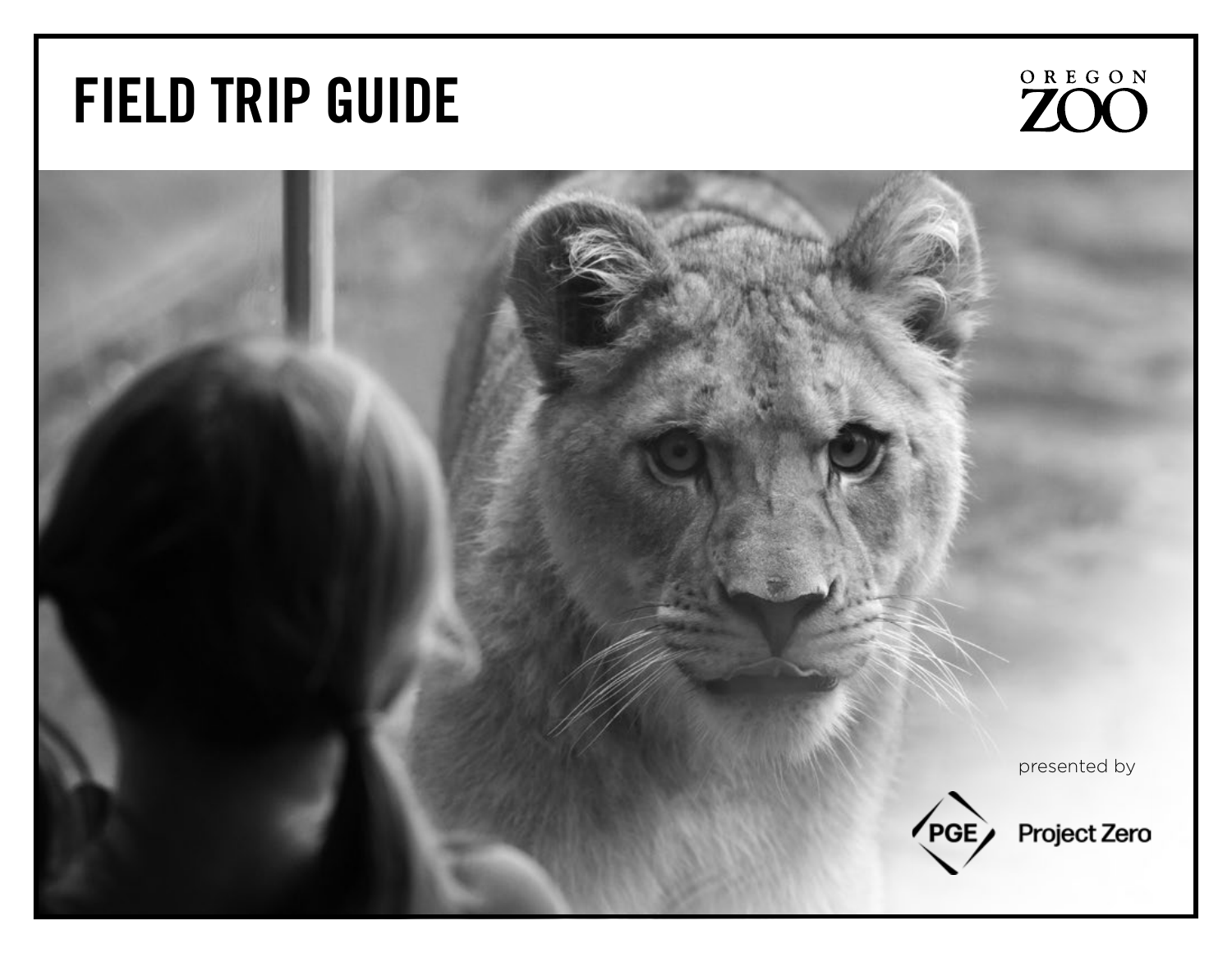# FIELD TRIP GUIDE



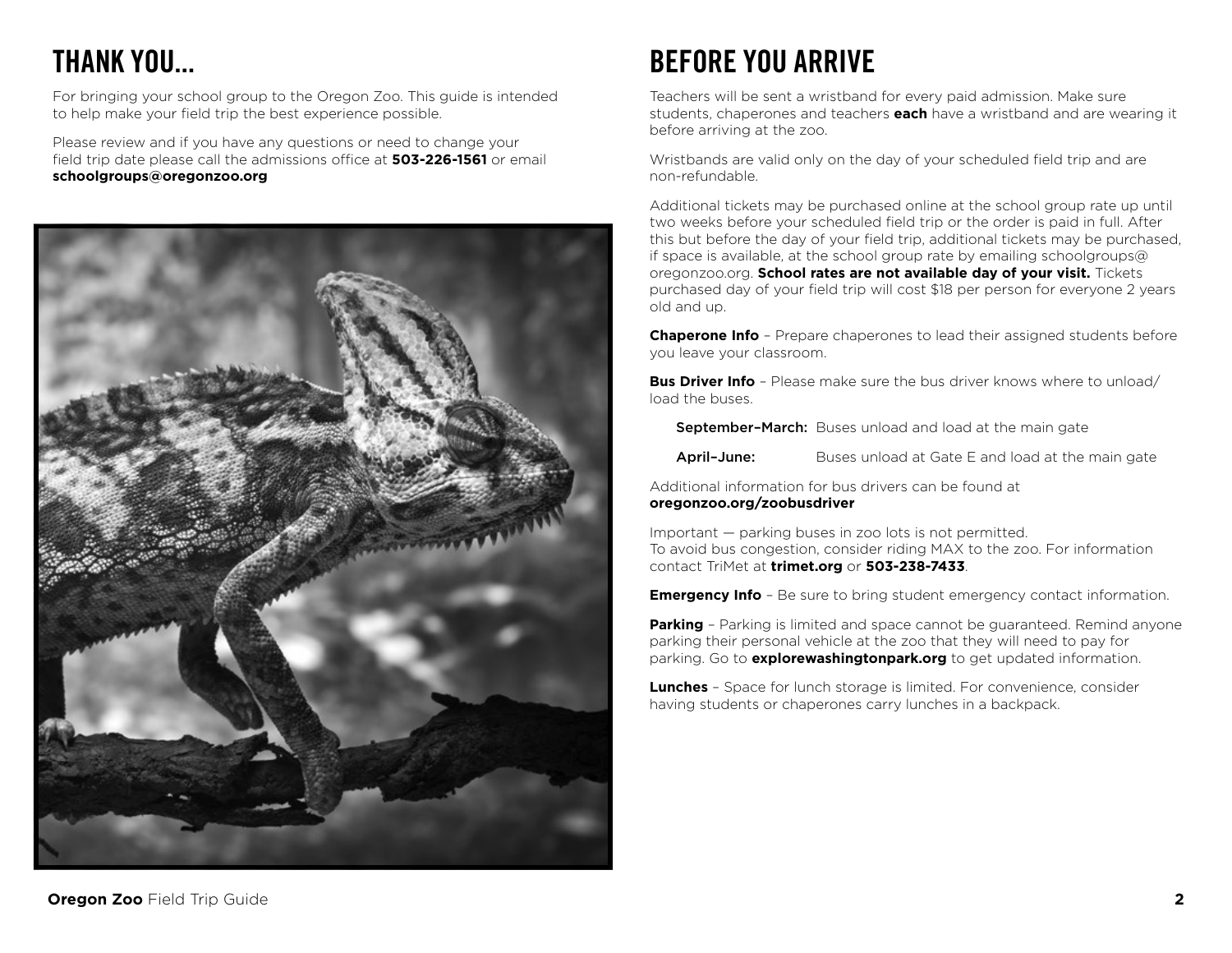# THANK YOU...

For bringing your school group to the Oregon Zoo. This guide is intended to help make your field trip the best experience possible.

Please review and if you have any questions or need to change your field trip date please call the admissions office at **503-226-1561** or email **schoolgroups@oregonzoo.org**



# BEFORE YOU ARRIVE

Teachers will be sent a wristband for every paid admission. Make sure students, chaperones and teachers **each** have a wristband and are wearing it before arriving at the zoo.

Wristbands are valid only on the day of your scheduled field trip and are non-refundable.

Additional tickets may be purchased online at the school group rate up until two weeks before your scheduled field trip or the order is paid in full. After this but before the day of your field trip, additional tickets may be purchased, if space is available, at the school group rate by emailing schoolgroups@ oregonzoo.org. **School rates are not available day of your visit.** Tickets purchased day of your field trip will cost \$18 per person for everyone 2 years old and up.

**Chaperone Info** – Prepare chaperones to lead their assigned students before you leave your classroom.

**Bus Driver Info** - Please make sure the bus driver knows where to unload/ load the buses.

September-March: Buses unload and load at the main gate

April-June: Buses unload at Gate E and load at the main gate

Additional information for bus drivers can be found at **[oregonzoo.org/zoobusdriver](http://oregonzoo.org/zoobusdriver)**

Important — parking buses in zoo lots is not permitted. To avoid bus congestion, consider riding MAX to the zoo. For information contact TriMet at **[trimet.org](http://trimet.org)** or **503-238-7433**.

**Emergency Info** - Be sure to bring student emergency contact information.

**Parking** – Parking is limited and space cannot be guaranteed. Remind anyone parking their personal vehicle at the zoo that they will need to pay for parking. Go to **[explorewashingtonpark.org](http://explorewashingtonpark.org)** to get updated information.

**Lunches** – Space for lunch storage is limited. For convenience, consider having students or chaperones carry lunches in a backpack.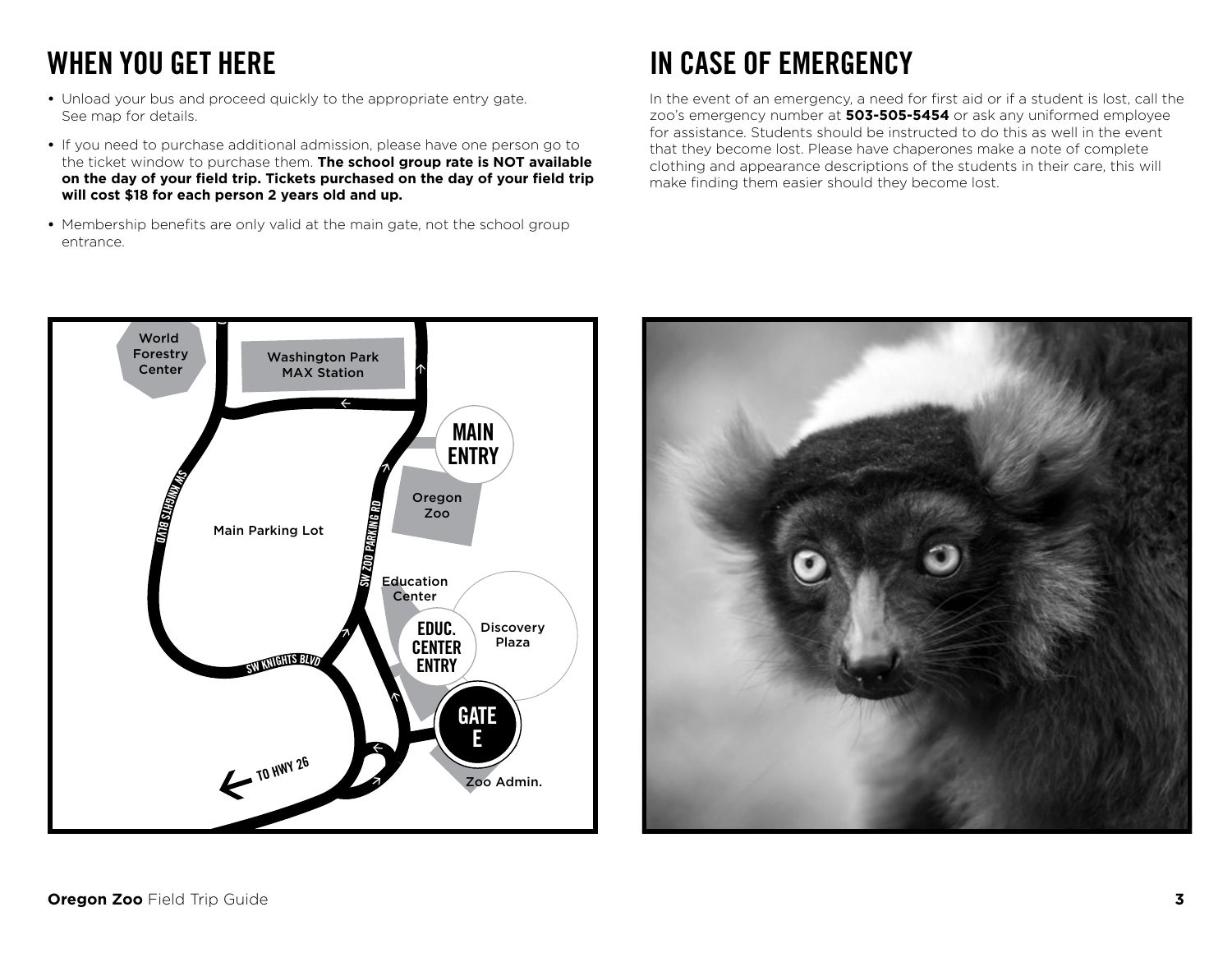# WHEN YOU GET HERE

- **•** Unload your bus and proceed quickly to the appropriate entry gate. See map for details.
- **•** If you need to purchase additional admission, please have one person go to the ticket window to purchase them. **The school group rate is NOT available on the day of your field trip. Tickets purchased on the day of your field trip will cost \$18 for each person 2 years old and up.**
- **•** Membership benefits are only valid at the main gate, not the school group entrance.

# IN CASE OF EMERGENCY

In the event of an emergency, a need for first aid or if a student is lost, call the zoo's emergency number at **503-505-5454** or ask any uniformed employee for assistance. Students should be instructed to do this as well in the event that they become lost. Please have chaperones make a note of complete clothing and appearance descriptions of the students in their care, this will make finding them easier should they become lost.



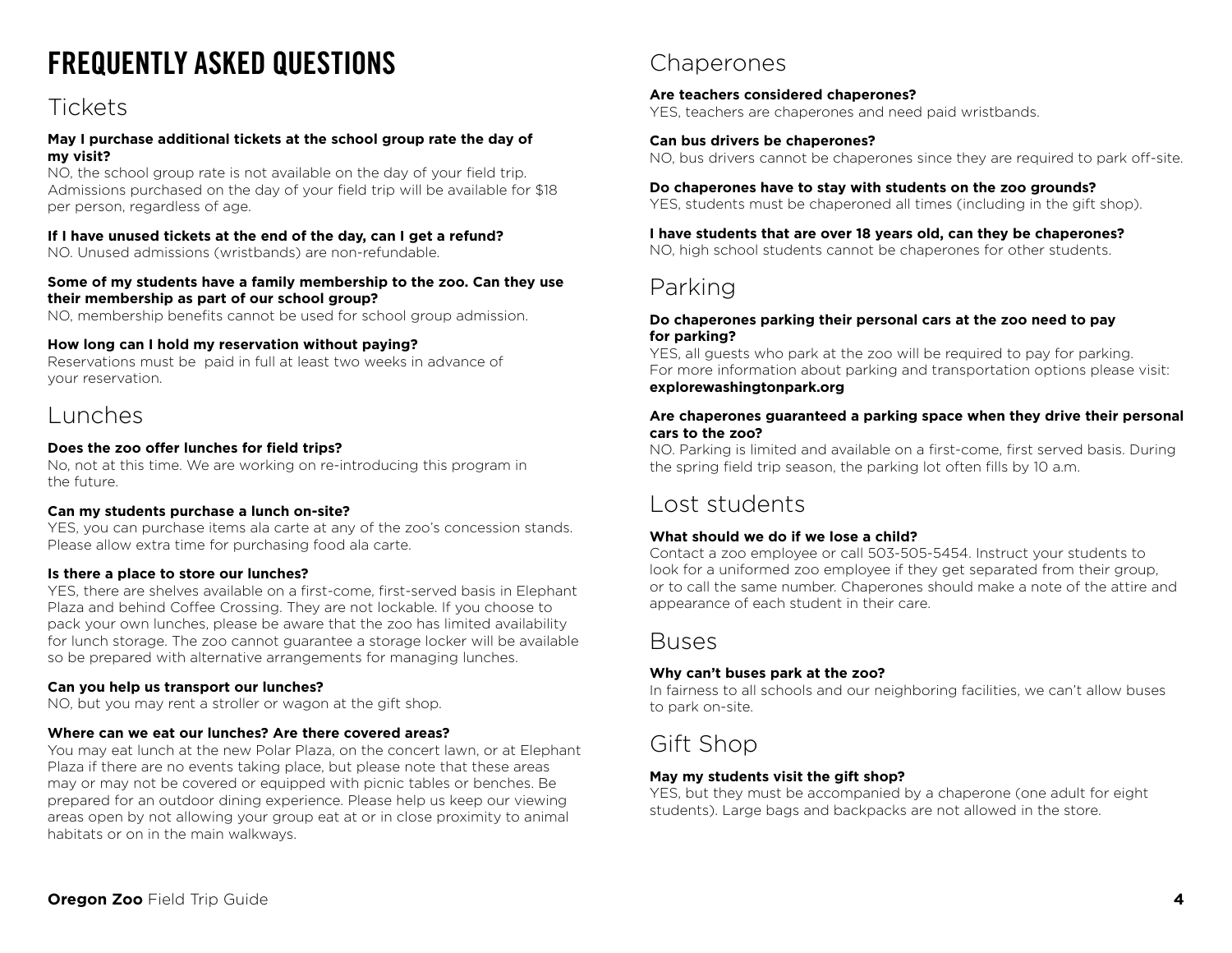# FREQUENTLY ASKED QUESTIONS

### Tickets

#### **May I purchase additional tickets at the school group rate the day of my visit?**

NO, the school group rate is not available on the day of your field trip. Admissions purchased on the day of your field trip will be available for \$18 per person, regardless of age.

#### **If I have unused tickets at the end of the day, can I get a refund?**

NO. Unused admissions (wristbands) are non-refundable.

#### **Some of my students have a family membership to the zoo. Can they use their membership as part of our school group?**

NO, membership benefits cannot be used for school group admission.

#### **How long can I hold my reservation without paying?**

Reservations must be paid in full at least two weeks in advance of your reservation.

### Lunches

#### **Does the zoo offer lunches for field trips?**

No, not at this time. We are working on re-introducing this program in the future.

#### **Can my students purchase a lunch on-site?**

YES, you can purchase items ala carte at any of the zoo's concession stands. Please allow extra time for purchasing food ala carte.

#### **Is there a place to store our lunches?**

YES, there are shelves available on a first-come, first-served basis in Elephant Plaza and behind Coffee Crossing. They are not lockable. If you choose to pack your own lunches, please be aware that the zoo has limited availability for lunch storage. The zoo cannot guarantee a storage locker will be available so be prepared with alternative arrangements for managing lunches.

#### **Can you help us transport our lunches?**

NO, but you may rent a stroller or wagon at the gift shop.

#### **Where can we eat our lunches? Are there covered areas?**

You may eat lunch at the new Polar Plaza, on the concert lawn, or at Elephant Plaza if there are no events taking place, but please note that these areas may or may not be covered or equipped with picnic tables or benches. Be prepared for an outdoor dining experience. Please help us keep our viewing areas open by not allowing your group eat at or in close proximity to animal habitats or on in the main walkways.

### **Chaperones**

#### **Are teachers considered chaperones?**

YES, teachers are chaperones and need paid wristbands.

#### **Can bus drivers be chaperones?**

NO, bus drivers cannot be chaperones since they are required to park off-site.

#### **Do chaperones have to stay with students on the zoo grounds?**

YES, students must be chaperoned all times (including in the gift shop).

#### **I have students that are over 18 years old, can they be chaperones?**

NO, high school students cannot be chaperones for other students.

### Parking

#### **Do chaperones parking their personal cars at the zoo need to pay for parking?**

YES, all guests who park at the zoo will be required to pay for parking. For more information about parking and transportation options please visit: **explorewashingtonpark[.org](http://washingtonparkpdx.org)**

#### **Are chaperones guaranteed a parking space when they drive their personal cars to the zoo?**

NO. Parking is limited and available on a first-come, first served basis. During the spring field trip season, the parking lot often fills by 10 a.m.

### Lost students

#### **What should we do if we lose a child?**

Contact a zoo employee or call 503-505-5454. Instruct your students to look for a uniformed zoo employee if they get separated from their group, or to call the same number. Chaperones should make a note of the attire and appearance of each student in their care.

### Buses

#### **Why can't buses park at the zoo?**

In fairness to all schools and our neighboring facilities, we can't allow buses to park on-site.

### Gift Shop

#### **May my students visit the gift shop?**

YES, but they must be accompanied by a chaperone (one adult for eight students). Large bags and backpacks are not allowed in the store.